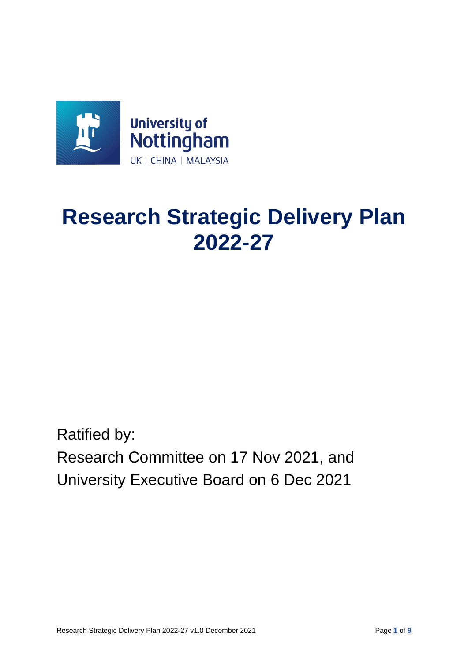

# **Research Strategic Delivery Plan 2022-27**

Ratified by: Research Committee on 17 Nov 2021, and University Executive Board on 6 Dec 2021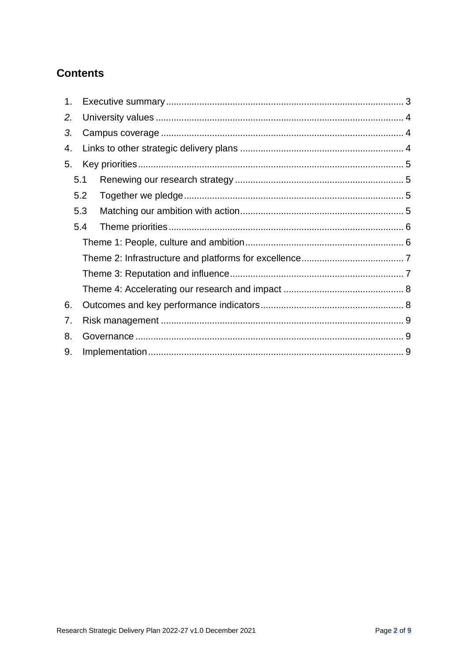## **Contents**

| 1 <sub>1</sub> |     |  |
|----------------|-----|--|
| 2.             |     |  |
| 3.             |     |  |
| 4.             |     |  |
| 5.             |     |  |
|                | 5.1 |  |
|                | 5.2 |  |
|                | 5.3 |  |
|                | 5.4 |  |
|                |     |  |
|                |     |  |
|                |     |  |
|                |     |  |
| 6.             |     |  |
| 7.             |     |  |
| 8.             |     |  |
| 9.             |     |  |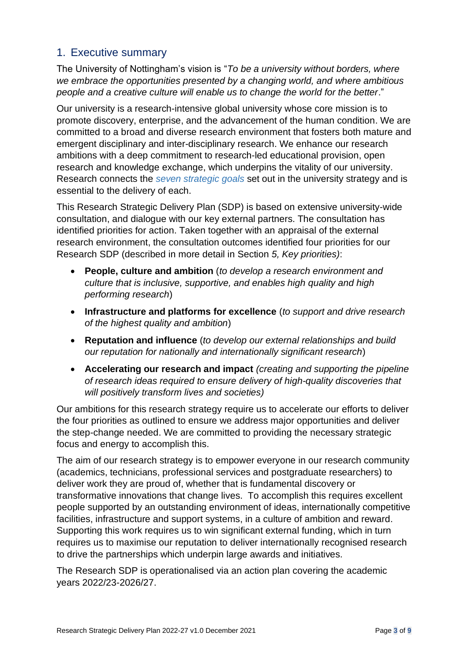#### <span id="page-2-0"></span>1. Executive summary

The University of Nottingham's vision is "*To be a university without borders, where we embrace the opportunities presented by a changing world, and where ambitious people and a creative culture will enable us to change the world for the better*."

Our university is a research-intensive global university whose core mission is to promote discovery, enterprise, and the advancement of the human condition. We are committed to a broad and diverse research environment that fosters both mature and emergent disciplinary and inter-disciplinary research. We enhance our research ambitions with a deep commitment to research-led educational provision, open research and knowledge exchange, which underpins the vitality of our university. Research connects the *[seven strategic goals](https://www.nottingham.ac.uk/strategy/goals.aspx)* set out in the university strategy and is essential to the delivery of each.

This Research Strategic Delivery Plan (SDP) is based on extensive university-wide consultation, and dialogue with our key external partners. The consultation has identified priorities for action. Taken together with an appraisal of the external research environment, the consultation outcomes identified four priorities for our Research SDP (described in more detail in Section *5, Key priorities)*:

- **People, culture and ambition** (*to develop a research environment and culture that is inclusive, supportive, and enables high quality and high performing research*)
- **Infrastructure and platforms for excellence** (*to support and drive research of the highest quality and ambition*)
- **Reputation and influence** (*to develop our external relationships and build our reputation for nationally and internationally significant research*)
- **Accelerating our research and impact** *(creating and supporting the pipeline of research ideas required to ensure delivery of high-quality discoveries that will positively transform lives and societies)*

Our ambitions for this research strategy require us to accelerate our efforts to deliver the four priorities as outlined to ensure we address major opportunities and deliver the step-change needed. We are committed to providing the necessary strategic focus and energy to accomplish this.

The aim of our research strategy is to empower everyone in our research community (academics, technicians, professional services and postgraduate researchers) to deliver work they are proud of, whether that is fundamental discovery or transformative innovations that change lives. To accomplish this requires excellent people supported by an outstanding environment of ideas, internationally competitive facilities, infrastructure and support systems, in a culture of ambition and reward. Supporting this work requires us to win significant external funding, which in turn requires us to maximise our reputation to deliver internationally recognised research to drive the partnerships which underpin large awards and initiatives.

The Research SDP is operationalised via an action plan covering the academic years 2022/23-2026/27.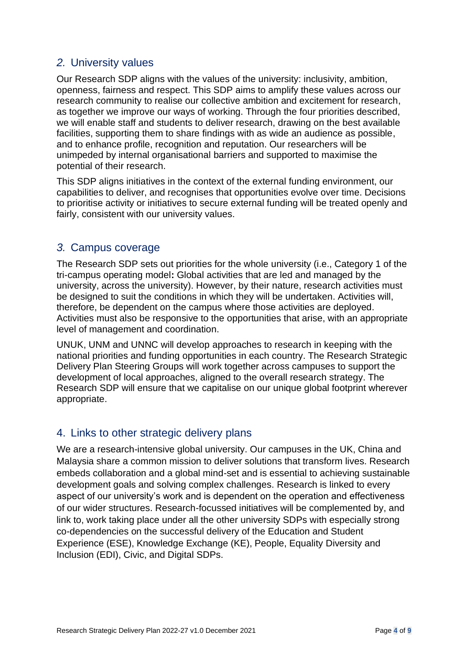## <span id="page-3-0"></span>*2.* University values

Our Research SDP aligns with the values of the university: inclusivity, ambition, openness, fairness and respect. This SDP aims to amplify these values across our research community to realise our collective ambition and excitement for research, as together we improve our ways of working. Through the four priorities described, we will enable staff and students to deliver research, drawing on the best available facilities, supporting them to share findings with as wide an audience as possible, and to enhance profile, recognition and reputation. Our researchers will be unimpeded by internal organisational barriers and supported to maximise the potential of their research.

This SDP aligns initiatives in the context of the external funding environment, our capabilities to deliver, and recognises that opportunities evolve over time. Decisions to prioritise activity or initiatives to secure external funding will be treated openly and fairly, consistent with our university values.

#### <span id="page-3-1"></span>*3.* Campus coverage

The Research SDP sets out priorities for the whole university (i.e., Category 1 of the tri-campus operating model**:** Global activities that are led and managed by the university, across the university). However, by their nature, research activities must be designed to suit the conditions in which they will be undertaken. Activities will, therefore, be dependent on the campus where those activities are deployed. Activities must also be responsive to the opportunities that arise, with an appropriate level of management and coordination.

UNUK, UNM and UNNC will develop approaches to research in keeping with the national priorities and funding opportunities in each country. The Research Strategic Delivery Plan Steering Groups will work together across campuses to support the development of local approaches, aligned to the overall research strategy. The Research SDP will ensure that we capitalise on our unique global footprint wherever appropriate.

#### <span id="page-3-2"></span>4. Links to other strategic delivery plans

We are a research-intensive global university. Our campuses in the UK, China and Malaysia share a common mission to deliver solutions that transform lives. Research embeds collaboration and a global mind-set and is essential to achieving sustainable development goals and solving complex challenges. Research is linked to every aspect of our university's work and is dependent on the operation and effectiveness of our wider structures. Research-focussed initiatives will be complemented by, and link to, work taking place under all the other university SDPs with especially strong co-dependencies on the successful delivery of the Education and Student Experience (ESE), Knowledge Exchange (KE), People, Equality Diversity and Inclusion (EDI), Civic, and Digital SDPs.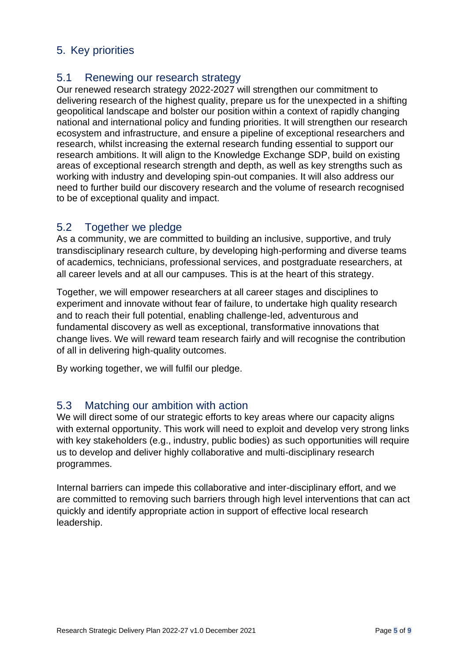## <span id="page-4-0"></span>5. Key priorities

#### <span id="page-4-1"></span>5.1 Renewing our research strategy

Our renewed research strategy 2022-2027 will strengthen our commitment to delivering research of the highest quality, prepare us for the unexpected in a shifting geopolitical landscape and bolster our position within a context of rapidly changing national and international policy and funding priorities. It will strengthen our research ecosystem and infrastructure, and ensure a pipeline of exceptional researchers and research, whilst increasing the external research funding essential to support our research ambitions. It will align to the Knowledge Exchange SDP, build on existing areas of exceptional research strength and depth, as well as key strengths such as working with industry and developing spin-out companies. It will also address our need to further build our discovery research and the volume of research recognised to be of exceptional quality and impact.

#### <span id="page-4-2"></span>5.2 Together we pledge

As a community, we are committed to building an inclusive, supportive, and truly transdisciplinary research culture, by developing high-performing and diverse teams of academics, technicians, professional services, and postgraduate researchers, at all career levels and at all our campuses. This is at the heart of this strategy.

Together, we will empower researchers at all career stages and disciplines to experiment and innovate without fear of failure, to undertake high quality research and to reach their full potential, enabling challenge-led, adventurous and fundamental discovery as well as exceptional, transformative innovations that change lives. We will reward team research fairly and will recognise the contribution of all in delivering high-quality outcomes.

By working together, we will fulfil our pledge.

#### <span id="page-4-3"></span>5.3 Matching our ambition with action

We will direct some of our strategic efforts to key areas where our capacity aligns with external opportunity. This work will need to exploit and develop very strong links with key stakeholders (e.g., industry, public bodies) as such opportunities will require us to develop and deliver highly collaborative and multi-disciplinary research programmes.

Internal barriers can impede this collaborative and inter-disciplinary effort, and we are committed to removing such barriers through high level interventions that can act quickly and identify appropriate action in support of effective local research leadership.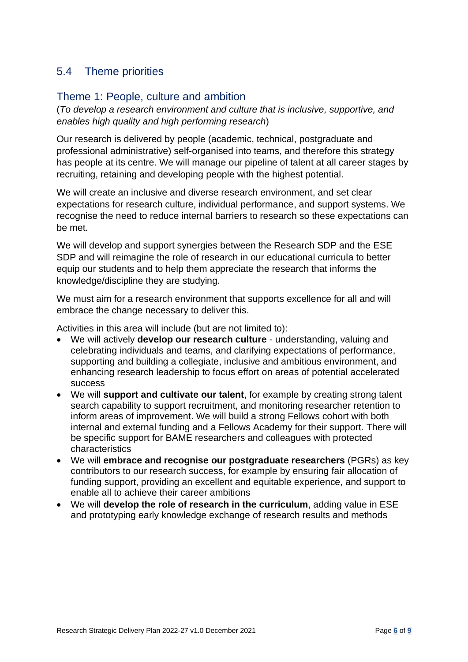## <span id="page-5-0"></span>5.4 Theme priorities

#### <span id="page-5-1"></span>Theme 1: People, culture and ambition

(*To develop a research environment and culture that is inclusive, supportive, and enables high quality and high performing research*)

Our research is delivered by people (academic, technical, postgraduate and professional administrative) self-organised into teams, and therefore this strategy has people at its centre. We will manage our pipeline of talent at all career stages by recruiting, retaining and developing people with the highest potential.

We will create an inclusive and diverse research environment, and set clear expectations for research culture, individual performance, and support systems. We recognise the need to reduce internal barriers to research so these expectations can be met.

We will develop and support synergies between the Research SDP and the ESE SDP and will reimagine the role of research in our educational curricula to better equip our students and to help them appreciate the research that informs the knowledge/discipline they are studying.

We must aim for a research environment that supports excellence for all and will embrace the change necessary to deliver this.

Activities in this area will include (but are not limited to):

- We will actively **develop our research culture** understanding, valuing and celebrating individuals and teams, and clarifying expectations of performance, supporting and building a collegiate, inclusive and ambitious environment, and enhancing research leadership to focus effort on areas of potential accelerated success
- We will **support and cultivate our talent**, for example by creating strong talent search capability to support recruitment, and monitoring researcher retention to inform areas of improvement. We will build a strong Fellows cohort with both internal and external funding and a Fellows Academy for their support. There will be specific support for BAME researchers and colleagues with protected characteristics
- We will **embrace and recognise our postgraduate researchers** (PGRs) as key contributors to our research success, for example by ensuring fair allocation of funding support, providing an excellent and equitable experience, and support to enable all to achieve their career ambitions
- We will **develop the role of research in the curriculum**, adding value in ESE and prototyping early knowledge exchange of research results and methods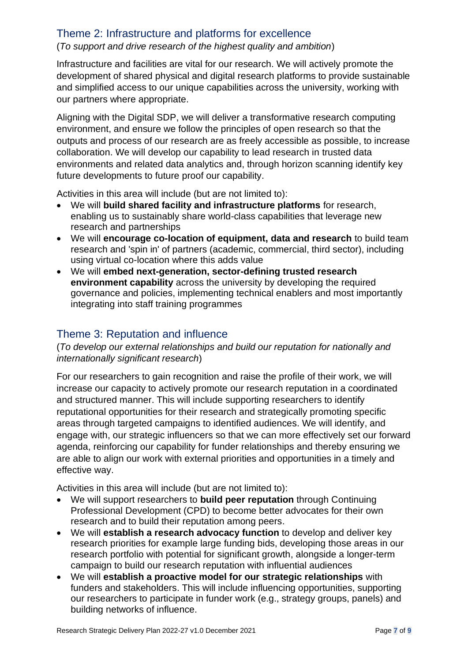#### <span id="page-6-0"></span>Theme 2: Infrastructure and platforms for excellence

#### (*To support and drive research of the highest quality and ambition*)

Infrastructure and facilities are vital for our research. We will actively promote the development of shared physical and digital research platforms to provide sustainable and simplified access to our unique capabilities across the university, working with our partners where appropriate.

Aligning with the Digital SDP, we will deliver a transformative research computing environment, and ensure we follow the principles of open research so that the outputs and process of our research are as freely accessible as possible, to increase collaboration. We will develop our capability to lead research in trusted data environments and related data analytics and, through horizon scanning identify key future developments to future proof our capability.

Activities in this area will include (but are not limited to):

- We will **build shared facility and infrastructure platforms** for research, enabling us to sustainably share world-class capabilities that leverage new research and partnerships
- We will **encourage co-location of equipment, data and research** to build team research and 'spin in' of partners (academic, commercial, third sector), including using virtual co-location where this adds value
- We will **embed next-generation, sector-defining trusted research environment capability** across the university by developing the required governance and policies, implementing technical enablers and most importantly integrating into staff training programmes

## <span id="page-6-1"></span>Theme 3: Reputation and influence

#### (*To develop our external relationships and build our reputation for nationally and internationally significant research*)

For our researchers to gain recognition and raise the profile of their work, we will increase our capacity to actively promote our research reputation in a coordinated and structured manner. This will include supporting researchers to identify reputational opportunities for their research and strategically promoting specific areas through targeted campaigns to identified audiences. We will identify, and engage with, our strategic influencers so that we can more effectively set our forward agenda, reinforcing our capability for funder relationships and thereby ensuring we are able to align our work with external priorities and opportunities in a timely and effective way.

Activities in this area will include (but are not limited to):

- We will support researchers to **build peer reputation** through Continuing Professional Development (CPD) to become better advocates for their own research and to build their reputation among peers.
- We will **establish a research advocacy function** to develop and deliver key research priorities for example large funding bids, developing those areas in our research portfolio with potential for significant growth, alongside a longer-term campaign to build our research reputation with influential audiences
- We will **establish a proactive model for our strategic relationships** with funders and stakeholders. This will include influencing opportunities, supporting our researchers to participate in funder work (e.g., strategy groups, panels) and building networks of influence.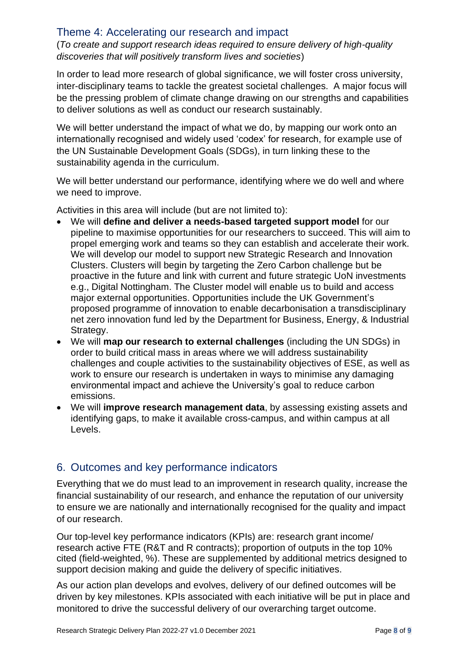#### <span id="page-7-0"></span>Theme 4: Accelerating our research and impact

(*To create and support research ideas required to ensure delivery of high-quality discoveries that will positively transform lives and societies*)

In order to lead more research of global significance, we will foster cross university, inter-disciplinary teams to tackle the greatest societal challenges. A major focus will be the pressing problem of climate change drawing on our strengths and capabilities to deliver solutions as well as conduct our research sustainably.

We will better understand the impact of what we do, by mapping our work onto an internationally recognised and widely used 'codex' for research, for example use of the UN Sustainable Development Goals (SDGs), in turn linking these to the sustainability agenda in the curriculum.

We will better understand our performance, identifying where we do well and where we need to improve.

Activities in this area will include (but are not limited to):

- We will **define and deliver a needs-based targeted support model** for our pipeline to maximise opportunities for our researchers to succeed. This will aim to propel emerging work and teams so they can establish and accelerate their work. We will develop our model to support new Strategic Research and Innovation Clusters. Clusters will begin by targeting the Zero Carbon challenge but be proactive in the future and link with current and future strategic UoN investments e.g., Digital Nottingham. The Cluster model will enable us to build and access major external opportunities. Opportunities include the UK Government's proposed programme of innovation to enable decarbonisation a transdisciplinary net zero innovation fund led by the Department for Business, Energy, & Industrial Strategy.
- We will **map our research to external challenges** (including the UN SDGs) in order to build critical mass in areas where we will address sustainability challenges and couple activities to the sustainability objectives of ESE, as well as work to ensure our research is undertaken in ways to minimise any damaging environmental impact and achieve the University's goal to reduce carbon emissions.
- We will **improve research management data**, by assessing existing assets and identifying gaps, to make it available cross-campus, and within campus at all Levels.

## <span id="page-7-1"></span>6. Outcomes and key performance indicators

Everything that we do must lead to an improvement in research quality, increase the financial sustainability of our research, and enhance the reputation of our university to ensure we are nationally and internationally recognised for the quality and impact of our research.

Our top-level key performance indicators (KPIs) are: research grant income/ research active FTE (R&T and R contracts); proportion of outputs in the top 10% cited (field-weighted, %). These are supplemented by additional metrics designed to support decision making and guide the delivery of specific initiatives.

As our action plan develops and evolves, delivery of our defined outcomes will be driven by key milestones. KPIs associated with each initiative will be put in place and monitored to drive the successful delivery of our overarching target outcome.